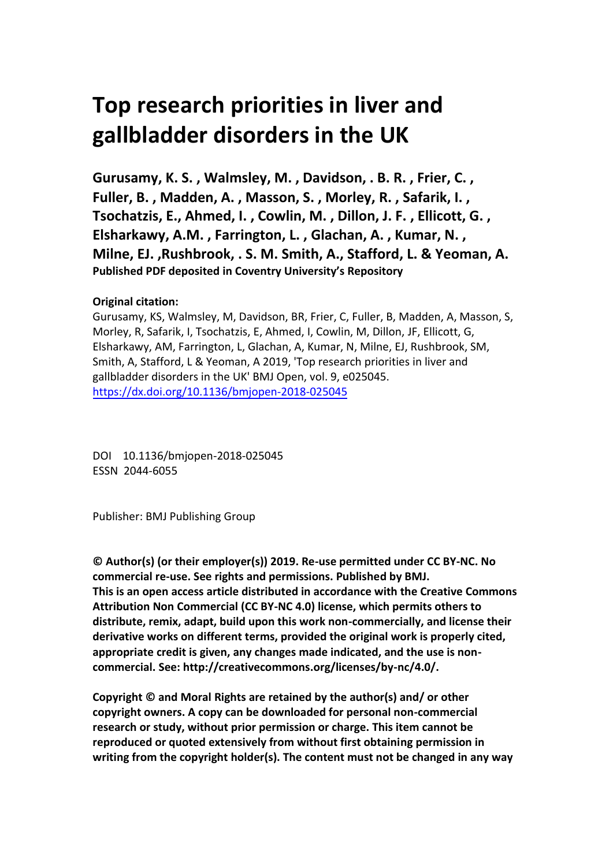# **Top research priorities in liver and gallbladder disorders in the UK**

**Gurusamy, K. S. , Walmsley, M. , Davidson, . B. R. , Frier, C. , Fuller, B. , Madden, A. , Masson, S. , Morley, R. , Safarik, I. , Tsochatzis, E., Ahmed, I. , Cowlin, M. , Dillon, J. F. , Ellicott, G. , Elsharkawy, A.M. , Farrington, L. , Glachan, A. , Kumar, N. , Milne, EJ. ,Rushbrook, . S. M. Smith, A., Stafford, L. & Yeoman, A. Published PDF deposited in Coventry University's Repository** 

# **Original citation:**

Gurusamy, KS, Walmsley, M, Davidson, BR, Frier, C, Fuller, B, Madden, A, Masson, S, Morley, R, Safarik, I, Tsochatzis, E, Ahmed, I, Cowlin, M, Dillon, JF, Ellicott, G, Elsharkawy, AM, Farrington, L, Glachan, A, Kumar, N, Milne, EJ, Rushbrook, SM, Smith, A, Stafford, L & Yeoman, A 2019, 'Top research priorities in liver and gallbladder disorders in the UK' BMJ Open, vol. 9, e025045. https://dx.doi.org/10.1136/bmjopen-2018-025045

DOI 10.1136/bmjopen-2018-025045 ESSN 2044-6055

Publisher: BMJ Publishing Group

**© Author(s) (or their employer(s)) 2019. Re-use permitted under CC BY-NC. No commercial re-use. See rights and permissions. Published by BMJ. This is an open access article distributed in accordance with the Creative Commons Attribution Non Commercial (CC BY-NC 4.0) license, which permits others to distribute, remix, adapt, build upon this work non-commercially, and license their derivative works on different terms, provided the original work is properly cited, appropriate credit is given, any changes made indicated, and the use is noncommercial. See: http://creativecommons.org/licenses/by-nc/4.0/.**

**Copyright © and Moral Rights are retained by the author(s) and/ or other copyright owners. A copy can be downloaded for personal non-commercial research or study, without prior permission or charge. This item cannot be reproduced or quoted extensively from without first obtaining permission in writing from the copyright holder(s). The content must not be changed in any way**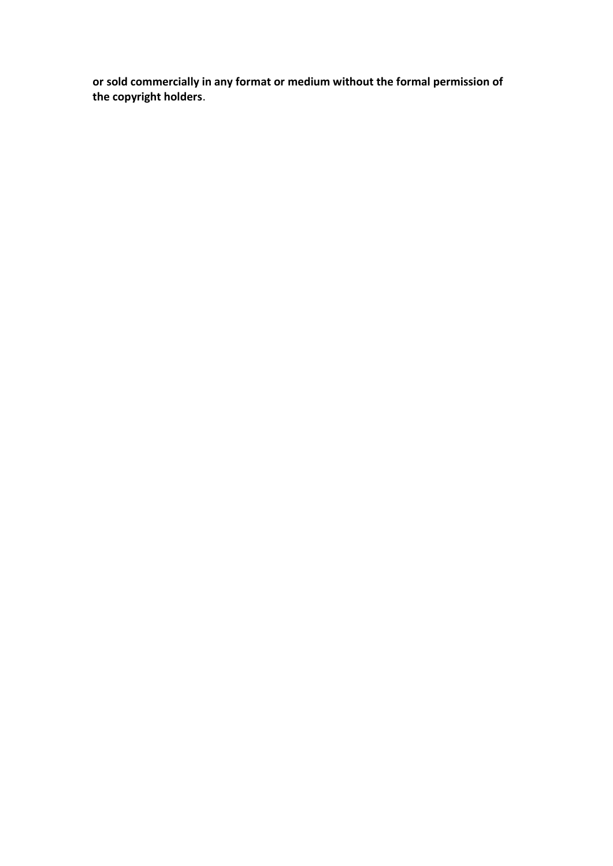**or sold commercially in any format or medium without the formal permission of the copyright holders**.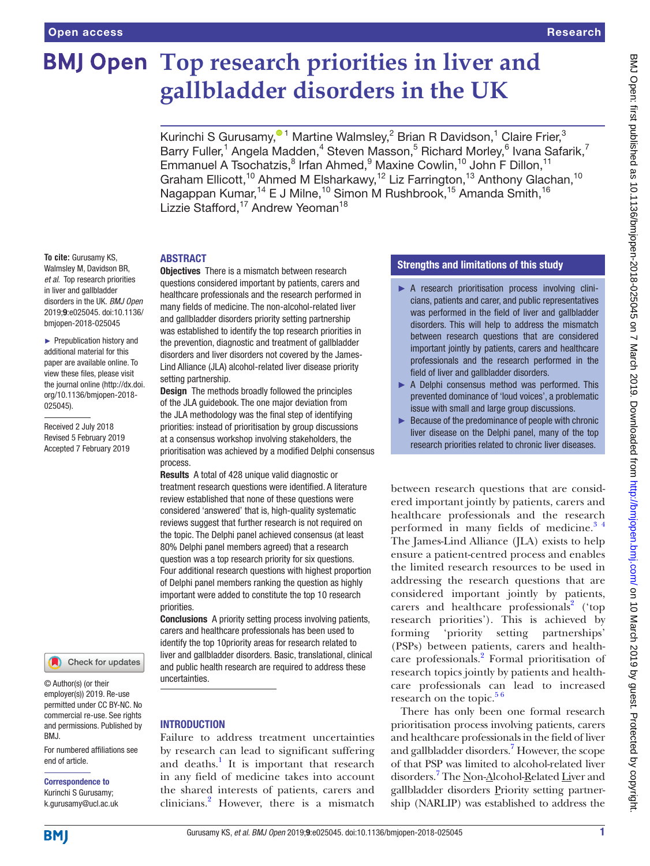# **BMJ Open Top research priorities in liver and gallbladder disorders in the UK**

KurinchiS Gurusamy,<sup>01</sup> Martine Walmsley,<sup>2</sup> Brian R Davidson,<sup>1</sup> Claire Frier,<sup>3</sup> Barry Fuller,<sup>1</sup> Angela Madden,<sup>4</sup> Steven Masson,<sup>5</sup> Richard Morley,<sup>6</sup> Ivana Safarik,<sup>7</sup> Emmanuel A Tsochatzis, <sup>8</sup> Irfan Ahmed, <sup>9</sup> Maxine Cowlin, <sup>10</sup> John F Dillon, <sup>11</sup> Graham Ellicott,<sup>10</sup> Ahmed M Elsharkawy,<sup>12</sup> Liz Farrington,<sup>13</sup> Anthony Glachan,<sup>10</sup> Nagappan Kumar,<sup>14</sup> E J Milne,<sup>10</sup> Simon M Rushbrook,<sup>15</sup> Amanda Smith,<sup>16</sup> Lizzie Stafford.<sup>17</sup> Andrew Yeoman<sup>18</sup>

#### **ABSTRACT**

**Objectives** There is a mismatch between research questions considered important by patients, carers and healthcare professionals and the research performed in many fields of medicine. The non-alcohol-related liver and gallbladder disorders priority setting partnership was established to identify the top research priorities in the prevention, diagnostic and treatment of gallbladder disorders and liver disorders not covered by the James-Lind Alliance (JLA) alcohol-related liver disease priority setting partnership.

**Design** The methods broadly followed the principles of the JLA guidebook. The one major deviation from the JLA methodology was the final step of identifying priorities: instead of prioritisation by group discussions at a consensus workshop involving stakeholders, the prioritisation was achieved by a modified Delphi consensus process.

Results A total of 428 unique valid diagnostic or treatment research questions were identified. A literature review established that none of these questions were considered 'answered' that is, high-quality systematic reviews suggest that further research is not required on the topic. The Delphi panel achieved consensus (at least 80% Delphi panel members agreed) that a research question was a top research priority for six questions. Four additional research questions with highest proportion of Delphi panel members ranking the question as highly important were added to constitute the top 10 research priorities.

Conclusions A priority setting process involving patients, carers and healthcare professionals has been used to identify the top 10priority areas for research related to liver and gallbladder disorders. Basic, translational, clinical and public health research are required to address these uncertainties.

# **INTRODUCTION**

Failure to address treatment uncertainties by research can lead to significant suffering and deaths.<sup>[1](#page-9-0)</sup> It is important that research in any field of medicine takes into account the shared interests of patients, carers and clinicians[.2](#page-9-1) However, there is a mismatch

# Strengths and limitations of this study

- ► A research prioritisation process involving clinicians, patients and carer, and public representatives was performed in the field of liver and gallbladder disorders. This will help to address the mismatch between research questions that are considered important jointly by patients, carers and healthcare professionals and the research performed in the field of liver and gallbladder disorders.
- ► A Delphi consensus method was performed. This prevented dominance of 'loud voices', a problematic issue with small and large group discussions.
- ► Because of the predominance of people with chronic liver disease on the Delphi panel, many of the top research priorities related to chronic liver diseases.

between research questions that are considered important jointly by patients, carers and healthcare professionals and the research performed in many fields of medicine. $3<sup>4</sup>$ The James-Lind Alliance (JLA) exists to help ensure a patient-centred process and enables the limited research resources to be used in addressing the research questions that are considered important jointly by patients, carers and healthcare professionals<sup>[2](#page-9-1)</sup> ('top research priorities'). This is achieved by forming 'priority setting partnerships' (PSPs) between patients, carers and healthcare professionals.<sup>2</sup> Formal prioritisation of research topics jointly by patients and healthcare professionals can lead to increased research on the topic. $56$ 

There has only been one formal research prioritisation process involving patients, carers and healthcare professionals in the field of liver and gallbladder disorders.<sup>7</sup> However, the scope of that PSP was limited to alcohol-related liver disorders.<sup>[7](#page-9-4)</sup> The <u>N</u>on-Alcohol-Related Liver and gallbladder disorders Priority setting partnership (NARLIP) was established to address the

**To cite:** Gurusamy KS, Walmsley M, Davidson BR, *et al*. Top research priorities in liver and gallbladder disorders in the UK. *BMJ Open* 2019;9:e025045. doi:10.1136/ bmjopen-2018-025045

► Prepublication history and additional material for this paper are available online. To view these files, please visit the journal online [\(http://dx.doi.](http://dx.doi.org/10.1136/bmjopen-2018-025045) [org/10.1136/bmjopen-2018-](http://dx.doi.org/10.1136/bmjopen-2018-025045) [025045\)](http://dx.doi.org/10.1136/bmjopen-2018-025045).

Received 2 July 2018 Revised 5 February 2019 Accepted 7 February 2019



© Author(s) (or their employer(s)) 2019. Re-use permitted under CC BY-NC. No commercial re-use. See rights and permissions. Published by BMJ.

For numbered affiliations see end of article.

#### Correspondence to Kurinchi S Gurusamy; k.gurusamy@ucl.ac.uk

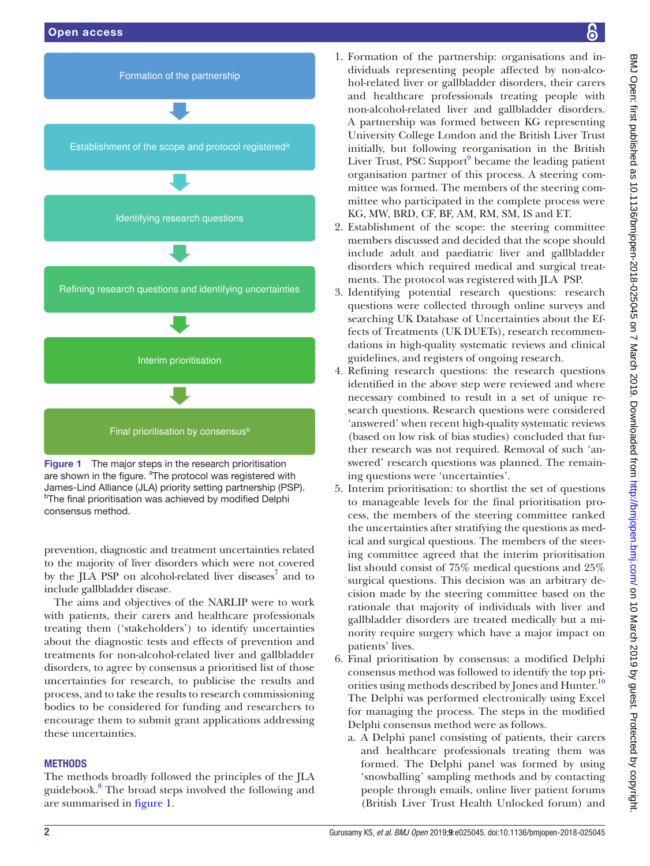

<span id="page-3-0"></span>Figure 1 The major steps in the research prioritisation are shown in the figure. <sup>a</sup>The protocol was registered with James-Lind Alliance (JLA) priority setting partnership (PSP). <sup>b</sup>The final prioritisation was achieved by modified Delphi consensus method.

prevention, diagnostic and treatment uncertainties related to the majority of liver disorders which were not covered by the JLA PSP on alcohol-related liver diseases<sup>[7](#page-9-4)</sup> and to include gallbladder disease.

The aims and objectives of the NARLIP were to work with patients, their carers and healthcare professionals treating them ('stakeholders') to identify uncertainties about the diagnostic tests and effects of prevention and treatments for non-alcohol-related liver and gallbladder disorders, to agree by consensus a prioritised list of those uncertainties for research, to publicise the results and process, and to take the results to research commissioning bodies to be considered for funding and researchers to encourage them to submit grant applications addressing these uncertainties.

# **METHODS**

The methods broadly followed the principles of the JLA guidebook.[8](#page-9-5) The broad steps involved the following and are summarised in [figure](#page-3-0) 1.

- 1. Formation of the partnership: organisations and individuals representing people affected by non-alcohol-related liver or gallbladder disorders, their carers and healthcare professionals treating people with non-alcohol-related liver and gallbladder disorders. A partnership was formed between KG representing University College London and the British Liver Trust initially, but following reorganisation in the British Liver Trust, PSC Support<sup>[9](#page-9-6)</sup> became the leading patient organisation partner of this process. A steering committee was formed. The members of the steering committee who participated in the complete process were KG, MW, BRD, CF, BF, AM, RM, SM, IS and ET.
- 2. Establishment of the scope: the steering committee members discussed and decided that the scope should include adult and paediatric liver and gallbladder disorders which required medical and surgical treatments. The protocol was registered with JLA PSP.
- 3. Identifying potential research questions: research questions were collected through online surveys and searching UK Database of Uncertainties about the Effects of Treatments (UK DUETs), research recommendations in high-quality systematic reviews and clinical guidelines, and registers of ongoing research.
- 4. Refining research questions: the research questions identified in the above step were reviewed and where necessary combined to result in a set of unique research questions. Research questions were considered 'answered' when recent high-quality systematic reviews (based on low risk of bias studies) concluded that further research was not required. Removal of such 'answered' research questions was planned. The remaining questions were 'uncertainties'.
- 5. Interim prioritisation: to shortlist the set of questions to manageable levels for the final prioritisation process, the members of the steering committee ranked the uncertainties after stratifying the questions as medical and surgical questions. The members of the steering committee agreed that the interim prioritisation list should consist of 75% medical questions and 25% surgical questions. This decision was an arbitrary decision made by the steering committee based on the rationale that majority of individuals with liver and gallbladder disorders are treated medically but a minority require surgery which have a major impact on patients' lives.
- 6. Final prioritisation by consensus: a modified Delphi consensus method was followed to identify the top pri-orities using methods described by Jones and Hunter.<sup>[10](#page-9-7)</sup> The Delphi was performed electronically using Excel for managing the process. The steps in the modified Delphi consensus method were as follows.
	- a. A Delphi panel consisting of patients, their carers and healthcare professionals treating them was formed. The Delphi panel was formed by using 'snowballing' sampling methods and by contacting people through emails, online liver patient forums (British Liver Trust Health Unlocked forum) and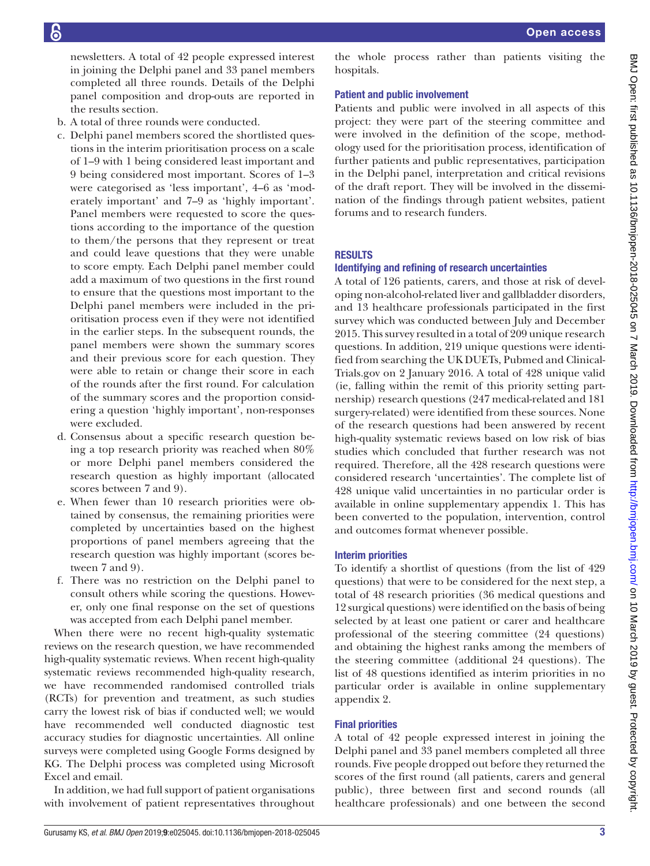newsletters. A total of 42 people expressed interest in joining the Delphi panel and 33 panel members completed all three rounds. Details of the Delphi panel composition and drop-outs are reported in the results section.

- b. A total of three rounds were conducted.
- c. Delphi panel members scored the shortlisted questions in the interim prioritisation process on a scale of 1–9 with 1 being considered least important and 9 being considered most important. Scores of 1–3 were categorised as 'less important', 4–6 as 'moderately important' and 7–9 as 'highly important'. Panel members were requested to score the questions according to the importance of the question to them/the persons that they represent or treat and could leave questions that they were unable to score empty. Each Delphi panel member could add a maximum of two questions in the first round to ensure that the questions most important to the Delphi panel members were included in the prioritisation process even if they were not identified in the earlier steps. In the subsequent rounds, the panel members were shown the summary scores and their previous score for each question. They were able to retain or change their score in each of the rounds after the first round. For calculation of the summary scores and the proportion considering a question 'highly important', non-responses were excluded.
- d. Consensus about a specific research question being a top research priority was reached when 80% or more Delphi panel members considered the research question as highly important (allocated scores between 7 and 9).
- e. When fewer than 10 research priorities were obtained by consensus, the remaining priorities were completed by uncertainties based on the highest proportions of panel members agreeing that the research question was highly important (scores between 7 and 9).
- f. There was no restriction on the Delphi panel to consult others while scoring the questions. However, only one final response on the set of questions was accepted from each Delphi panel member.

When there were no recent high-quality systematic reviews on the research question, we have recommended high-quality systematic reviews. When recent high-quality systematic reviews recommended high-quality research, we have recommended randomised controlled trials (RCTs) for prevention and treatment, as such studies carry the lowest risk of bias if conducted well; we would have recommended well conducted diagnostic test accuracy studies for diagnostic uncertainties. All online surveys were completed using Google Forms designed by KG. The Delphi process was completed using Microsoft Excel and email.

In addition, we had full support of patient organisations with involvement of patient representatives throughout the whole process rather than patients visiting the hospitals.

#### Patient and public involvement

Patients and public were involved in all aspects of this project: they were part of the steering committee and were involved in the definition of the scope, methodology used for the prioritisation process, identification of further patients and public representatives, participation in the Delphi panel, interpretation and critical revisions of the draft report. They will be involved in the dissemination of the findings through patient websites, patient forums and to research funders.

# **RESULTS**

#### Identifying and refining of research uncertainties

A total of 126 patients, carers, and those at risk of developing non-alcohol-related liver and gallbladder disorders, and 13 healthcare professionals participated in the first survey which was conducted between July and December 2015. This survey resulted in a total of 209 unique research questions. In addition, 219 unique questions were identified from searching the UK DUETs, Pubmed and Clinical-Trials.gov on 2 January 2016. A total of 428 unique valid (ie, falling within the remit of this priority setting partnership) research questions (247 medical-related and 181 surgery-related) were identified from these sources. None of the research questions had been answered by recent high-quality systematic reviews based on low risk of bias studies which concluded that further research was not required. Therefore, all the 428 research questions were considered research 'uncertainties'. The complete list of 428 unique valid uncertainties in no particular order is available in online [supplementary appendix 1](https://dx.doi.org/10.1136/bmjopen-2018-025045). This has been converted to the population, intervention, control and outcomes format whenever possible.

# Interim priorities

To identify a shortlist of questions (from the list of 429 questions) that were to be considered for the next step, a total of 48 research priorities (36 medical questions and 12 surgical questions) were identified on the basis of being selected by at least one patient or carer and healthcare professional of the steering committee (24 questions) and obtaining the highest ranks among the members of the steering committee (additional 24 questions). The list of 48 questions identified as interim priorities in no particular order is available in online [supplementary](https://dx.doi.org/10.1136/bmjopen-2018-025045)  [appendix 2.](https://dx.doi.org/10.1136/bmjopen-2018-025045)

# Final priorities

A total of 42 people expressed interest in joining the Delphi panel and 33 panel members completed all three rounds. Five people dropped out before they returned the scores of the first round (all patients, carers and general public), three between first and second rounds (all healthcare professionals) and one between the second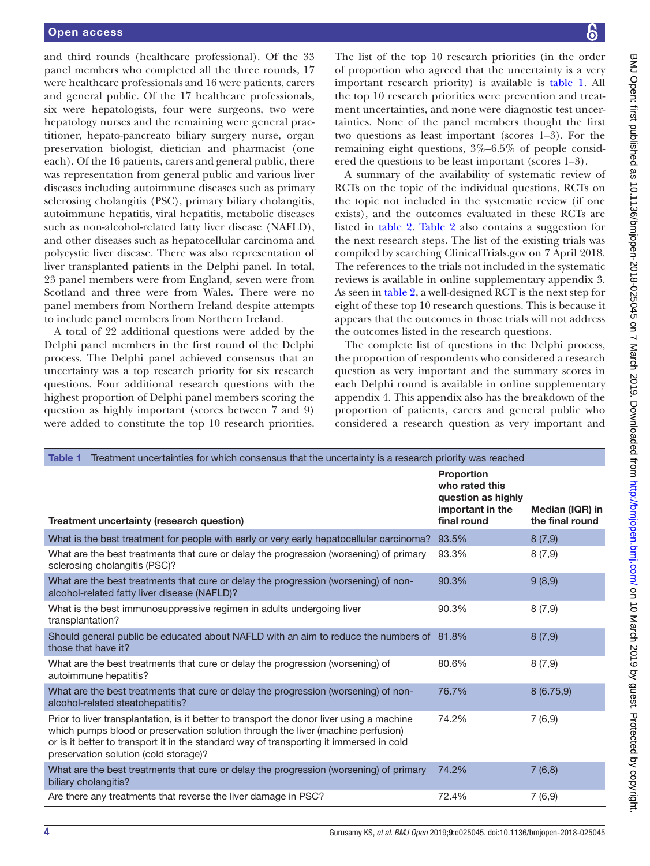and third rounds (healthcare professional). Of the 33 panel members who completed all the three rounds, 17 were healthcare professionals and 16 were patients, carers and general public. Of the 17 healthcare professionals, six were hepatologists, four were surgeons, two were hepatology nurses and the remaining were general practitioner, hepato-pancreato biliary surgery nurse, organ preservation biologist, dietician and pharmacist (one each). Of the 16 patients, carers and general public, there was representation from general public and various liver diseases including autoimmune diseases such as primary sclerosing cholangitis (PSC), primary biliary cholangitis, autoimmune hepatitis, viral hepatitis, metabolic diseases such as non-alcohol-related fatty liver disease (NAFLD), and other diseases such as hepatocellular carcinoma and polycystic liver disease. There was also representation of liver transplanted patients in the Delphi panel. In total, 23 panel members were from England, seven were from Scotland and three were from Wales. There were no panel members from Northern Ireland despite attempts to include panel members from Northern Ireland.

A total of 22 additional questions were added by the Delphi panel members in the first round of the Delphi process. The Delphi panel achieved consensus that an uncertainty was a top research priority for six research questions. Four additional research questions with the highest proportion of Delphi panel members scoring the question as highly important (scores between 7 and 9) were added to constitute the top 10 research priorities.

The list of the top 10 research priorities (in the order of proportion who agreed that the uncertainty is a very important research priority) is available is [table](#page-5-0) 1. All the top 10 research priorities were prevention and treatment uncertainties, and none were diagnostic test uncertainties. None of the panel members thought the first two questions as least important (scores 1–3). For the remaining eight questions, 3%–6.5% of people considered the questions to be least important (scores 1–3).

A summary of the availability of systematic review of RCTs on the topic of the individual questions, RCTs on the topic not included in the systematic review (if one exists), and the outcomes evaluated in these RCTs are listed in [table](#page-6-0) 2. [Table](#page-6-0) 2 also contains a suggestion for the next research steps. The list of the existing trials was compiled by searching ClinicalTrials.gov on 7 April 2018. The references to the trials not included in the systematic reviews is available in online [supplementary appendix 3](https://dx.doi.org/10.1136/bmjopen-2018-025045). As seen in [table](#page-6-0) 2, a well-designed RCT is the next step for eight of these top 10 research questions. This is because it appears that the outcomes in those trials will not address the outcomes listed in the research questions.

The complete list of questions in the Delphi process, the proportion of respondents who considered a research question as very important and the summary scores in each Delphi round is available in online [supplementary](https://dx.doi.org/10.1136/bmjopen-2018-025045)  [appendix 4.](https://dx.doi.org/10.1136/bmjopen-2018-025045) This appendix also has the breakdown of the proportion of patients, carers and general public who considered a research question as very important and

<span id="page-5-0"></span>

| Treatment uncertainties for which consensus that the uncertainty is a research priority was reached<br><b>Table 1</b>                                                                                                                                                                                             |                                                                                       |                                    |
|-------------------------------------------------------------------------------------------------------------------------------------------------------------------------------------------------------------------------------------------------------------------------------------------------------------------|---------------------------------------------------------------------------------------|------------------------------------|
| Treatment uncertainty (research question)                                                                                                                                                                                                                                                                         | Proportion<br>who rated this<br>question as highly<br>important in the<br>final round | Median (IQR) in<br>the final round |
| What is the best treatment for people with early or very early hepatocellular carcinoma?                                                                                                                                                                                                                          | 93.5%                                                                                 | 8(7,9)                             |
| What are the best treatments that cure or delay the progression (worsening) of primary<br>sclerosing cholangitis (PSC)?                                                                                                                                                                                           | 93.3%                                                                                 | 8(7,9)                             |
| What are the best treatments that cure or delay the progression (worsening) of non-<br>alcohol-related fatty liver disease (NAFLD)?                                                                                                                                                                               | 90.3%                                                                                 | 9(8,9)                             |
| What is the best immunosuppressive regimen in adults undergoing liver<br>transplantation?                                                                                                                                                                                                                         | 90.3%                                                                                 | 8(7,9)                             |
| Should general public be educated about NAFLD with an aim to reduce the numbers of 81.8%<br>those that have it?                                                                                                                                                                                                   |                                                                                       | 8(7,9)                             |
| What are the best treatments that cure or delay the progression (worsening) of<br>autoimmune hepatitis?                                                                                                                                                                                                           | 80.6%                                                                                 | 8(7,9)                             |
| What are the best treatments that cure or delay the progression (worsening) of non-<br>alcohol-related steatohepatitis?                                                                                                                                                                                           | 76.7%                                                                                 | 8(6.75,9)                          |
| Prior to liver transplantation, is it better to transport the donor liver using a machine<br>which pumps blood or preservation solution through the liver (machine perfusion)<br>or is it better to transport it in the standard way of transporting it immersed in cold<br>preservation solution (cold storage)? | 74.2%                                                                                 | 7(6,9)                             |
| What are the best treatments that cure or delay the progression (worsening) of primary<br>biliary cholangitis?                                                                                                                                                                                                    | 74.2%                                                                                 | 7(6,8)                             |
| Are there any treatments that reverse the liver damage in PSC?                                                                                                                                                                                                                                                    | 72.4%                                                                                 | 7(6,9)                             |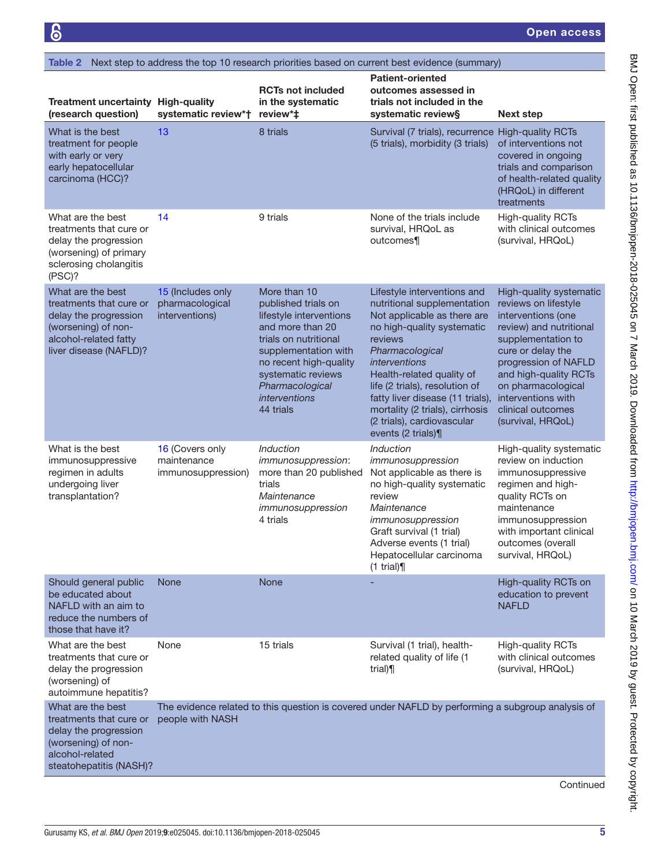<span id="page-6-0"></span>

|                                                                                                                                                 |                                                        |                                                                                                                                                                                                                                             | Table 2 Next step to address the top 10 research priorities based on current best evidence (summary)                                                                                                                                                                                                                                                                    |                                                                                                                                                                                                                                                                                    |
|-------------------------------------------------------------------------------------------------------------------------------------------------|--------------------------------------------------------|---------------------------------------------------------------------------------------------------------------------------------------------------------------------------------------------------------------------------------------------|-------------------------------------------------------------------------------------------------------------------------------------------------------------------------------------------------------------------------------------------------------------------------------------------------------------------------------------------------------------------------|------------------------------------------------------------------------------------------------------------------------------------------------------------------------------------------------------------------------------------------------------------------------------------|
| <b>Treatment uncertainty</b><br>(research question)                                                                                             | <b>High-quality</b><br>systematic review*†             | <b>RCTs not included</b><br>in the systematic<br>review*‡                                                                                                                                                                                   | <b>Patient-oriented</b><br>outcomes assessed in<br>trials not included in the<br>systematic review§                                                                                                                                                                                                                                                                     | Next step                                                                                                                                                                                                                                                                          |
| What is the best<br>treatment for people<br>with early or very<br>early hepatocellular<br>carcinoma (HCC)?                                      | 13                                                     | 8 trials                                                                                                                                                                                                                                    | Survival (7 trials), recurrence High-quality RCTs<br>(5 trials), morbidity (3 trials)                                                                                                                                                                                                                                                                                   | of interventions not<br>covered in ongoing<br>trials and comparison<br>of health-related quality<br>(HRQoL) in different<br>treatments                                                                                                                                             |
| What are the best<br>treatments that cure or<br>delay the progression<br>(worsening) of primary<br>sclerosing cholangitis<br>(PSC)?             | 14                                                     | 9 trials                                                                                                                                                                                                                                    | None of the trials include<br>survival, HRQoL as<br>outcomes¶                                                                                                                                                                                                                                                                                                           | High-quality RCTs<br>with clinical outcomes<br>(survival, HRQoL)                                                                                                                                                                                                                   |
| What are the best<br>treatments that cure or<br>delay the progression<br>(worsening) of non-<br>alcohol-related fatty<br>liver disease (NAFLD)? | 15 (Includes only<br>pharmacological<br>interventions) | More than 10<br>published trials on<br>lifestyle interventions<br>and more than 20<br>trials on nutritional<br>supplementation with<br>no recent high-quality<br>systematic reviews<br>Pharmacological<br><i>interventions</i><br>44 trials | Lifestyle interventions and<br>nutritional supplementation<br>Not applicable as there are<br>no high-quality systematic<br>reviews<br>Pharmacological<br><i>interventions</i><br>Health-related quality of<br>life (2 trials), resolution of<br>fatty liver disease (11 trials),<br>mortality (2 trials), cirrhosis<br>(2 trials), cardiovascular<br>events (2 trials)¶ | High-quality systematic<br>reviews on lifestyle<br>interventions (one<br>review) and nutritional<br>supplementation to<br>cure or delay the<br>progression of NAFLD<br>and high-quality RCTs<br>on pharmacological<br>interventions with<br>clinical outcomes<br>(survival, HRQoL) |
| What is the best<br>immunosuppressive<br>regimen in adults<br>undergoing liver<br>transplantation?                                              | 16 (Covers only<br>maintenance<br>immunosuppression)   | <b>Induction</b><br><i>immunosuppression:</i><br>more than 20 published<br>trials<br>Maintenance<br>immunosuppression<br>4 trials                                                                                                           | <i><u><b>Induction</b></u></i><br>immunosuppression<br>Not applicable as there is<br>no high-quality systematic<br>review<br>Maintenance<br>immunosuppression<br>Graft survival (1 trial)<br>Adverse events (1 trial)<br>Hepatocellular carcinoma<br>$(1 \text{ trial})$                                                                                                | High-quality systematic<br>review on induction<br>immunosuppressive<br>regimen and high-<br>quality RCTs on<br>maintenance<br>immunosuppression<br>with important clinical<br>outcomes (overall<br>survival, HRQoL)                                                                |
| Should general public<br>be educated about<br>NAFLD with an aim to<br>reduce the numbers of<br>those that have it?                              | <b>None</b>                                            | <b>None</b>                                                                                                                                                                                                                                 |                                                                                                                                                                                                                                                                                                                                                                         | High-quality RCTs on<br>education to prevent<br><b>NAFLD</b>                                                                                                                                                                                                                       |
| What are the best<br>treatments that cure or<br>delay the progression<br>(worsening) of<br>autoimmune hepatitis?                                | None                                                   | 15 trials                                                                                                                                                                                                                                   | Survival (1 trial), health-<br>related quality of life (1<br>trial)¶                                                                                                                                                                                                                                                                                                    | High-quality RCTs<br>with clinical outcomes<br>(survival, HRQoL)                                                                                                                                                                                                                   |
| What are the best<br>treatments that cure or<br>delay the progression<br>(worsening) of non-<br>alcohol-related<br>steatohepatitis (NASH)?      | people with NASH                                       |                                                                                                                                                                                                                                             | The evidence related to this question is covered under NAFLD by performing a subgroup analysis of                                                                                                                                                                                                                                                                       |                                                                                                                                                                                                                                                                                    |
|                                                                                                                                                 |                                                        |                                                                                                                                                                                                                                             |                                                                                                                                                                                                                                                                                                                                                                         | Continued                                                                                                                                                                                                                                                                          |

Gurusamy KS, *et al. BMJ Open* 2019;9:e025045. doi:10.1136/bmjopen-2018-025045 5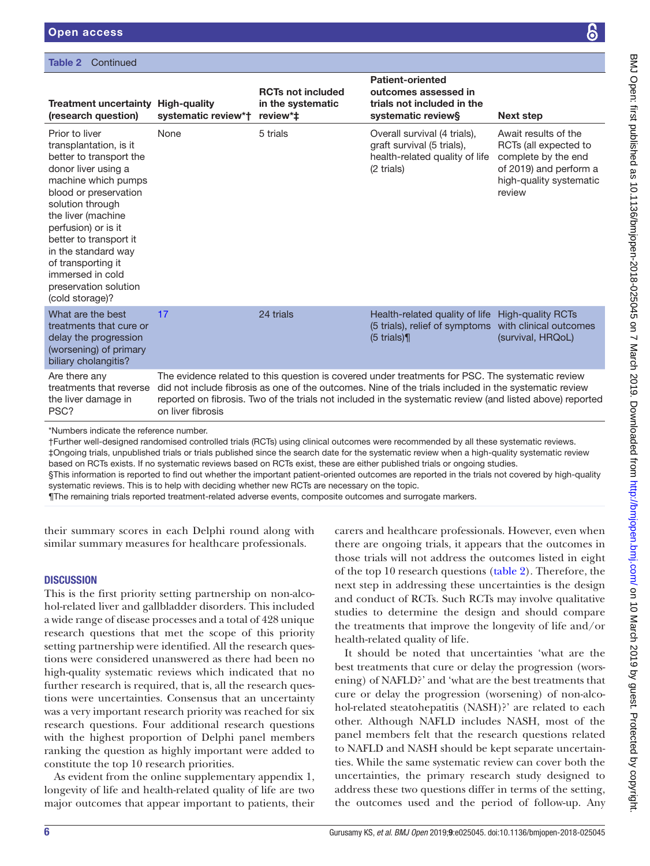| Table 2<br>Continued                                                                                                                                                                                                                                                                                                                               |                                                                                                                                                                                                                                                                                                                                             |                                                           |                                                                                                            |                                                                                                                                     |
|----------------------------------------------------------------------------------------------------------------------------------------------------------------------------------------------------------------------------------------------------------------------------------------------------------------------------------------------------|---------------------------------------------------------------------------------------------------------------------------------------------------------------------------------------------------------------------------------------------------------------------------------------------------------------------------------------------|-----------------------------------------------------------|------------------------------------------------------------------------------------------------------------|-------------------------------------------------------------------------------------------------------------------------------------|
| <b>Treatment uncertainty</b><br>(research question)                                                                                                                                                                                                                                                                                                | <b>High-quality</b><br>systematic review*†                                                                                                                                                                                                                                                                                                  | <b>RCTs not included</b><br>in the systematic<br>review*± | <b>Patient-oriented</b><br>outcomes assessed in<br>trials not included in the<br>systematic review§        | <b>Next step</b>                                                                                                                    |
| Prior to liver<br>transplantation, is it<br>better to transport the<br>donor liver using a<br>machine which pumps<br>blood or preservation<br>solution through<br>the liver (machine<br>perfusion) or is it<br>better to transport it<br>in the standard way<br>of transporting it<br>immersed in cold<br>preservation solution<br>(cold storage)? | None                                                                                                                                                                                                                                                                                                                                        | 5 trials                                                  | Overall survival (4 trials),<br>graft survival (5 trials),<br>health-related quality of life<br>(2 trials) | Await results of the<br>RCTs (all expected to<br>complete by the end<br>of 2019) and perform a<br>high-quality systematic<br>review |
| What are the best<br>treatments that cure or<br>delay the progression<br>(worsening) of primary<br>biliary cholangitis?                                                                                                                                                                                                                            | 17                                                                                                                                                                                                                                                                                                                                          | 24 trials                                                 | Health-related quality of life High-quality RCTs<br>(5 trials), relief of symptoms<br>$(5 \text{ trials})$ | with clinical outcomes<br>(survival, HRQoL)                                                                                         |
| Are there any<br>treatments that reverse<br>the liver damage in<br>PSC?                                                                                                                                                                                                                                                                            | The evidence related to this question is covered under treatments for PSC. The systematic review<br>did not include fibrosis as one of the outcomes. Nine of the trials included in the systematic review<br>reported on fibrosis. Two of the trials not included in the systematic review (and listed above) reported<br>on liver fibrosis |                                                           |                                                                                                            |                                                                                                                                     |
|                                                                                                                                                                                                                                                                                                                                                    |                                                                                                                                                                                                                                                                                                                                             |                                                           |                                                                                                            |                                                                                                                                     |

\*Numbers indicate the reference number.

†Further well-designed randomised controlled trials (RCTs) using clinical outcomes were recommended by all these systematic reviews. ‡Ongoing trials, unpublished trials or trials published since the search date for the systematic review when a high-quality systematic review

based on RCTs exists. If no systematic reviews based on RCTs exist, these are either published trials or ongoing studies. §This information is reported to find out whether the important patient-oriented outcomes are reported in the trials not covered by high-quality systematic reviews. This is to help with deciding whether new RCTs are necessary on the topic.

¶The remaining trials reported treatment-related adverse events, composite outcomes and surrogate markers.

their summary scores in each Delphi round along with similar summary measures for healthcare professionals.

#### **DISCUSSION**

This is the first priority setting partnership on non-alcohol-related liver and gallbladder disorders. This included a wide range of disease processes and a total of 428 unique research questions that met the scope of this priority setting partnership were identified. All the research questions were considered unanswered as there had been no high-quality systematic reviews which indicated that no further research is required, that is, all the research questions were uncertainties. Consensus that an uncertainty was a very important research priority was reached for six research questions. Four additional research questions with the highest proportion of Delphi panel members ranking the question as highly important were added to constitute the top 10 research priorities.

As evident from the online [supplementary appendix 1,](https://dx.doi.org/10.1136/bmjopen-2018-025045) longevity of life and health-related quality of life are two major outcomes that appear important to patients, their

carers and healthcare professionals. However, even when there are ongoing trials, it appears that the outcomes in those trials will not address the outcomes listed in eight of the top 10 research questions [\(table](#page-6-0) 2). Therefore, the next step in addressing these uncertainties is the design and conduct of RCTs. Such RCTs may involve qualitative studies to determine the design and should compare the treatments that improve the longevity of life and/or health-related quality of life.

It should be noted that uncertainties 'what are the best treatments that cure or delay the progression (worsening) of NAFLD?' and 'what are the best treatments that cure or delay the progression (worsening) of non-alcohol-related steatohepatitis (NASH)?' are related to each other. Although NAFLD includes NASH, most of the panel members felt that the research questions related to NAFLD and NASH should be kept separate uncertainties. While the same systematic review can cover both the uncertainties, the primary research study designed to address these two questions differ in terms of the setting, the outcomes used and the period of follow-up. Any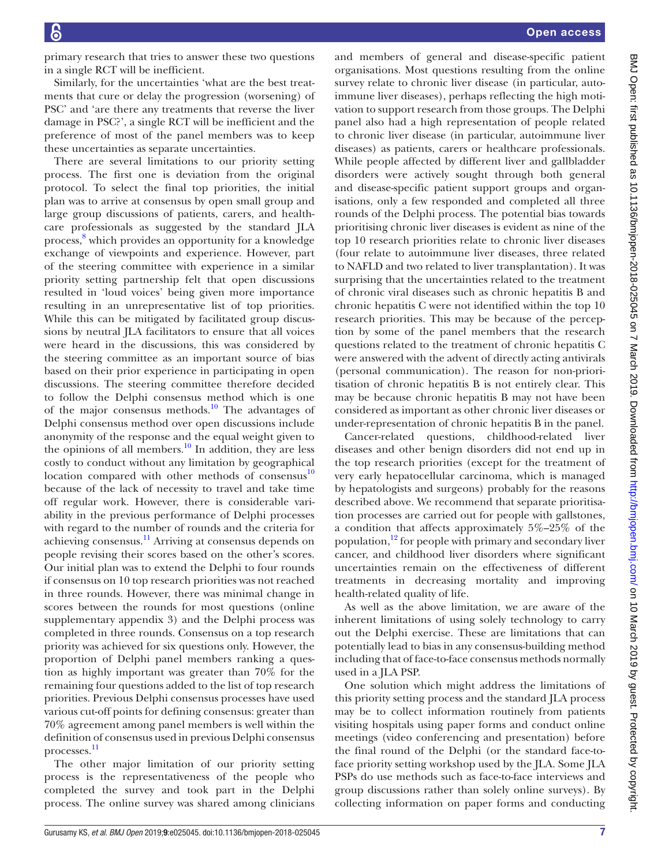primary research that tries to answer these two questions in a single RCT will be inefficient.

Similarly, for the uncertainties 'what are the best treatments that cure or delay the progression (worsening) of PSC' and 'are there any treatments that reverse the liver damage in PSC?', a single RCT will be inefficient and the preference of most of the panel members was to keep these uncertainties as separate uncertainties.

There are several limitations to our priority setting process. The first one is deviation from the original protocol. To select the final top priorities, the initial plan was to arrive at consensus by open small group and large group discussions of patients, carers, and healthcare professionals as suggested by the standard JLA process, [8](#page-9-5) which provides an opportunity for a knowledge exchange of viewpoints and experience. However, part of the steering committee with experience in a similar priority setting partnership felt that open discussions resulted in 'loud voices' being given more importance resulting in an unrepresentative list of top priorities. While this can be mitigated by facilitated group discussions by neutral JLA facilitators to ensure that all voices were heard in the discussions, this was considered by the steering committee as an important source of bias based on their prior experience in participating in open discussions. The steering committee therefore decided to follow the Delphi consensus method which is one of the major consensus methods. $10$  The advantages of Delphi consensus method over open discussions include anonymity of the response and the equal weight given to the opinions of all members.<sup>[10](#page-9-7)</sup> In addition, they are less costly to conduct without any limitation by geographical location compared with other methods of consensus $10$ because of the lack of necessity to travel and take time off regular work. However, there is considerable variability in the previous performance of Delphi processes with regard to the number of rounds and the criteria for achieving consensus[.11](#page-9-8) Arriving at consensus depends on people revising their scores based on the other's scores. Our initial plan was to extend the Delphi to four rounds if consensus on 10 top research priorities was not reached in three rounds. However, there was minimal change in scores between the rounds for most questions (online [supplementary appendix 3\)](https://dx.doi.org/10.1136/bmjopen-2018-025045) and the Delphi process was completed in three rounds. Consensus on a top research priority was achieved for six questions only. However, the proportion of Delphi panel members ranking a question as highly important was greater than 70% for the remaining four questions added to the list of top research priorities. Previous Delphi consensus processes have used various cut-off points for defining consensus: greater than 70% agreement among panel members is well within the definition of consensus used in previous Delphi consensus processes. [11](#page-9-8)

The other major limitation of our priority setting process is the representativeness of the people who completed the survey and took part in the Delphi process. The online survey was shared among clinicians

and members of general and disease-specific patient organisations. Most questions resulting from the online survey relate to chronic liver disease (in particular, autoimmune liver diseases), perhaps reflecting the high motivation to support research from those groups. The Delphi panel also had a high representation of people related to chronic liver disease (in particular, autoimmune liver diseases) as patients, carers or healthcare professionals. While people affected by different liver and gallbladder disorders were actively sought through both general and disease-specific patient support groups and organisations, only a few responded and completed all three rounds of the Delphi process. The potential bias towards prioritising chronic liver diseases is evident as nine of the top 10 research priorities relate to chronic liver diseases (four relate to autoimmune liver diseases, three related to NAFLD and two related to liver transplantation). It was surprising that the uncertainties related to the treatment of chronic viral diseases such as chronic hepatitis B and chronic hepatitis C were not identified within the top 10 research priorities. This may be because of the perception by some of the panel members that the research questions related to the treatment of chronic hepatitis C were answered with the advent of directly acting antivirals (personal communication). The reason for non-prioritisation of chronic hepatitis B is not entirely clear. This may be because chronic hepatitis B may not have been considered as important as other chronic liver diseases or under-representation of chronic hepatitis B in the panel.

Cancer-related questions, childhood-related liver diseases and other benign disorders did not end up in the top research priorities (except for the treatment of very early hepatocellular carcinoma, which is managed by hepatologists and surgeons) probably for the reasons described above. We recommend that separate prioritisation processes are carried out for people with gallstones, a condition that affects approximately 5%–25% of the population, $12$  for people with primary and secondary liver cancer, and childhood liver disorders where significant uncertainties remain on the effectiveness of different treatments in decreasing mortality and improving health-related quality of life.

As well as the above limitation, we are aware of the inherent limitations of using solely technology to carry out the Delphi exercise. These are limitations that can potentially lead to bias in any consensus-building method including that of face-to-face consensus methods normally used in a JLA PSP.

One solution which might address the limitations of this priority setting process and the standard JLA process may be to collect information routinely from patients visiting hospitals using paper forms and conduct online meetings (video conferencing and presentation) before the final round of the Delphi (or the standard face-toface priority setting workshop used by the JLA. Some JLA PSPs do use methods such as face-to-face interviews and group discussions rather than solely online surveys). By collecting information on paper forms and conducting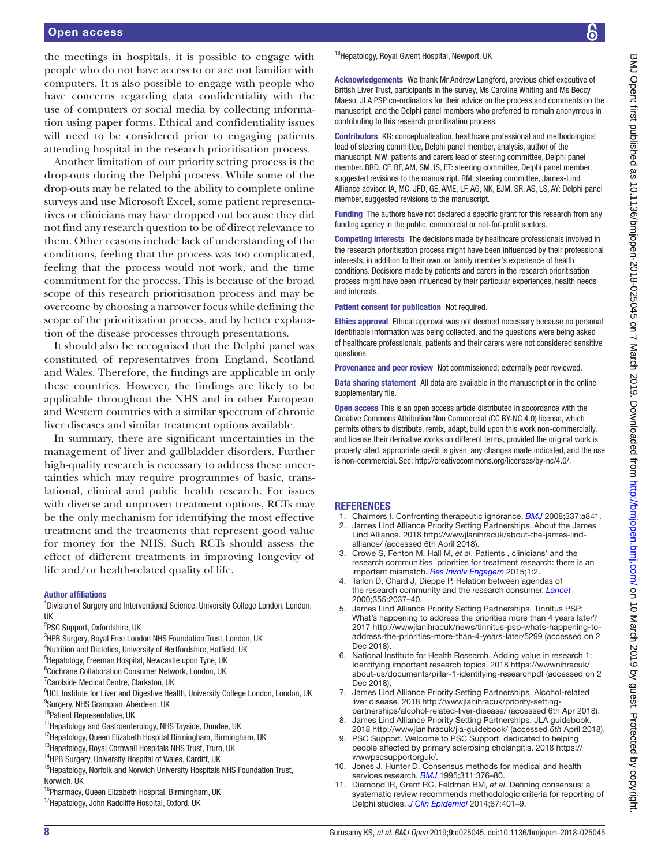#### Open access

the meetings in hospitals, it is possible to engage with people who do not have access to or are not familiar with computers. It is also possible to engage with people who have concerns regarding data confidentiality with the use of computers or social media by collecting information using paper forms. Ethical and confidentiality issues will need to be considered prior to engaging patients attending hospital in the research prioritisation process.

Another limitation of our priority setting process is the drop-outs during the Delphi process. While some of the drop-outs may be related to the ability to complete online surveys and use Microsoft Excel, some patient representatives or clinicians may have dropped out because they did not find any research question to be of direct relevance to them. Other reasons include lack of understanding of the conditions, feeling that the process was too complicated, feeling that the process would not work, and the time commitment for the process. This is because of the broad scope of this research prioritisation process and may be overcome by choosing a narrower focus while defining the scope of the prioritisation process, and by better explanation of the disease processes through presentations.

It should also be recognised that the Delphi panel was constituted of representatives from England, Scotland and Wales. Therefore, the findings are applicable in only these countries. However, the findings are likely to be applicable throughout the NHS and in other European and Western countries with a similar spectrum of chronic liver diseases and similar treatment options available.

In summary, there are significant uncertainties in the management of liver and gallbladder disorders. Further high-quality research is necessary to address these uncertainties which may require programmes of basic, translational, clinical and public health research. For issues with diverse and unproven treatment options, RCTs may be the only mechanism for identifying the most effective treatment and the treatments that represent good value for money for the NHS. Such RCTs should assess the effect of different treatments in improving longevity of life and/or health-related quality of life.

#### Author affiliations

<sup>1</sup>Division of Surgery and Interventional Science, University College London, London, UK

- <sup>3</sup>HPB Surgery, Royal Free London NHS Foundation Trust, London, UK
- 4 Nutrition and Dietetics, University of Hertfordshire, Hatfield, UK
- <sup>5</sup>Hepatology, Freeman Hospital, Newcastle upon Tyne, UK
- <sup>6</sup>Cochrane Collaboration Consumer Network, London, UK
- <sup>7</sup> Carolside Medical Centre, Clarkston, UK
- <sup>8</sup>UCL Institute for Liver and Digestive Health, University College London, London, UK <sup>9</sup>Surgery, NHS Grampian, Aberdeen, UK
- <sup>10</sup>Patient Representative, UK
- $^{11}$  Hepatology and Gastroenterology, NHS Tayside, Dundee, UK
- <sup>12</sup>Hepatology, Queen Elizabeth Hospital Birmingham, Birmingham, UK
- <sup>13</sup>Hepatology, Royal Cornwall Hospitals NHS Trust, Truro, UK
- 14HPB Surgery, University Hospital of Wales, Cardiff, UK
- <sup>15</sup>Hepatology, Norfolk and Norwich University Hospitals NHS Foundation Trust, Norwich, UK
- <sup>16</sup>Pharmacy, Queen Elizabeth Hospital, Birmingham, UK
- <sup>17</sup>Hepatology, John Radcliffe Hospital, Oxford, UK

<sup>18</sup>Hepatology, Royal Gwent Hospital, Newport, UK

Acknowledgements We thank Mr Andrew Langford, previous chief executive of British Liver Trust, participants in the survey, Ms Caroline Whiting and Ms Beccy Maeso, JLA PSP co-ordinators for their advice on the process and comments on the manuscript, and the Delphi panel members who preferred to remain anonymous in contributing to this research prioritisation process.

Contributors KG: conceptualisation, healthcare professional and methodological lead of steering committee, Delphi panel member, analysis, author of the manuscript. MW: patients and carers lead of steering committee, Delphi panel member. BRD, CF, BF, AM, SM, IS, ET: steering committee, Delphi panel member, suggested revisions to the manuscript. RM: steering committee, James-Lind Alliance advisor. IA, MC, JFD, GE, AME, LF, AG, NK, EJM, SR, AS, LS, AY: Delphi panel member, suggested revisions to the manuscript.

Funding The authors have not declared a specific grant for this research from any funding agency in the public, commercial or not-for-profit sectors.

Competing interests The decisions made by healthcare professionals involved in the research prioritisation process might have been influenced by their professional interests, in addition to their own, or family member's experience of health conditions. Decisions made by patients and carers in the research prioritisation process might have been influenced by their particular experiences, health needs and interests.

Patient consent for publication Not required.

Ethics approval Ethical approval was not deemed necessary because no personal identifiable information was being collected, and the questions were being asked of healthcare professionals, patients and their carers were not considered sensitive questions.

Provenance and peer review Not commissioned; externally peer reviewed.

Data sharing statement All data are available in the manuscript or in the online [supplementary file.](https://dx.doi.org/10.1136/bmjopen-2018-025045)

Open access This is an open access article distributed in accordance with the Creative Commons Attribution Non Commercial (CC BY-NC 4.0) license, which permits others to distribute, remix, adapt, build upon this work non-commercially, and license their derivative works on different terms, provided the original work is properly cited, appropriate credit is given, any changes made indicated, and the use is non-commercial. See: [http://creativecommons.org/licenses/by-nc/4.0/.](http://creativecommons.org/licenses/by-nc/4.0/)

#### **REFERENCES**

- <span id="page-9-0"></span>1. Chalmers I. Confronting therapeutic ignorance. *[BMJ](http://dx.doi.org/10.1136/bmj.39555.392627.80)* 2008;337:a841.
- <span id="page-9-1"></span>2. James Lind Alliance Priority Setting Partnerships. About the James Lind Alliance. 2018 [http://wwwjlanihracuk/about-the-james-lind](http://wwwjlanihracuk/about-the-james-lind-alliance/)[alliance/](http://wwwjlanihracuk/about-the-james-lind-alliance/) (accessed 6th April 2018).
- <span id="page-9-2"></span>3. Crowe S, Fenton M, Hall M, *et al*. Patients', clinicians' and the research communities' priorities for treatment research: there is an important mismatch. *[Res Involv Engagem](http://dx.doi.org/10.1186/s40900-015-0003-x)* 2015;1:2.
- 4. Tallon D, Chard J, Dieppe P. Relation between agendas of the research community and the research consumer. *[Lancet](http://dx.doi.org/10.1016/S0140-6736(00)02351-5)* 2000;355:2037–40.
- <span id="page-9-3"></span>5. James Lind Alliance Priority Setting Partnerships. Tinnitus PSP: What's happening to address the priorities more than 4 years later? 2017 [http://wwwjlanihracuk/news/tinnitus-psp-whats-happening-to](http://wwwjlanihracuk/news/tinnitus-psp-whats-happening-to-address-the-priorities-more-than-4-years-later/5299)[address-the-priorities-more-than-4-years-later/5299](http://wwwjlanihracuk/news/tinnitus-psp-whats-happening-to-address-the-priorities-more-than-4-years-later/5299) (accessed on 2 Dec 2018)
- 6. National Institute for Health Research. Adding value in research 1: Identifying important research topics. 2018 [https://wwwnihracuk/](https://wwwnihracuk/about-us/documents/pillar-1-identifying-researchpdf) [about-us/documents/pillar-1-identifying-researchpdf](https://wwwnihracuk/about-us/documents/pillar-1-identifying-researchpdf) (accessed on 2 Dec 2018)
- <span id="page-9-4"></span>7. James Lind Alliance Priority Setting Partnerships. Alcohol-related liver disease. 2018 [http://wwwjlanihracuk/priority-setting](http://wwwjlanihracuk/priority-setting-partnerships/alcohol-related-liver-disease/)[partnerships/alcohol-related-liver-disease/](http://wwwjlanihracuk/priority-setting-partnerships/alcohol-related-liver-disease/) (accessed 6th Apr 2018).
- <span id="page-9-5"></span>8. James Lind Alliance Priority Setting Partnerships. JLA guidebook. 2018 <http://wwwjlanihracuk/jla-guidebook/>(accessed *6th* April 2018).
- <span id="page-9-6"></span>PSC Support. Welcome to PSC Support, dedicated to helping people affected by primary sclerosing cholangitis. 2018 [https://](https://wwwpscsupportorguk/) [wwwpscsupportorguk/.](https://wwwpscsupportorguk/)
- <span id="page-9-7"></span>10. Jones J, Hunter D. Consensus methods for medical and health services research. *[BMJ](http://www.ncbi.nlm.nih.gov/pubmed/7640549)* 1995;311:376–80.
- <span id="page-9-8"></span>11. Diamond IR, Grant RC, Feldman BM, *et al*. Defining consensus: a systematic review recommends methodologic criteria for reporting of Delphi studies. *[J Clin Epidemiol](http://dx.doi.org/10.1016/j.jclinepi.2013.12.002)* 2014;67:401–9.

<sup>&</sup>lt;sup>2</sup>PSC Support, Oxfordshire, UK